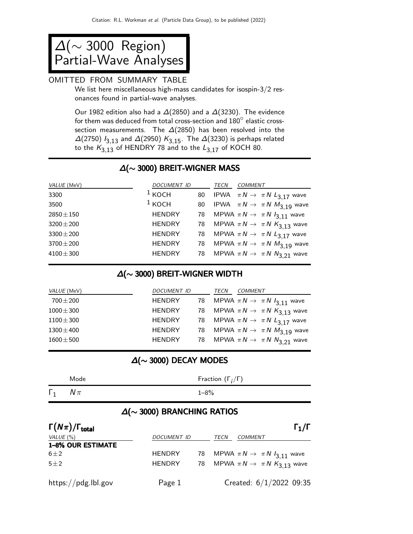∆(∼ 3000 Region) Partial-Wave Analyses

#### OMITTED FROM SUMMARY TABLE

We list here miscellaneous high-mass candidates for isospin-3/2 resonances found in partial-wave analyses.

Our 1982 edition also had a  $\Delta(2850)$  and a  $\Delta(3230)$ . The evidence for them was deduced from total cross-section and  $180^\circ$  elastic crosssection measurements. The  $\Delta(2850)$  has been resolved into the  $\Delta(2750)$   $I_{3,13}$  and  $\Delta(2950)$   $K_{3,15}$ . The  $\Delta(3230)$  is perhaps related to the  $K_{3,13}$  of HENDRY 78 and to the  $L_{3,17}$  of KOCH 80.

## ∆(∼ 3000) BREIT-WIGNER MASS

| VALUE (MeV)    | DOCUMENT ID   | TECN | <b>COMMENT</b>                                  |
|----------------|---------------|------|-------------------------------------------------|
| 3300           | $1$ KOCH      |      | 80 IPWA $\pi N \rightarrow \pi N L_{3,17}$ wave |
| 3500           | $1$ KOCH      |      | 80 IPWA $\pi N \rightarrow \pi N M_{3,19}$ wave |
| $2850 \pm 150$ | <b>HENDRY</b> |      | 78 MPWA $\pi N \rightarrow \pi N I_{3,11}$ wave |
| $3200 \pm 200$ | <b>HENDRY</b> |      | 78 MPWA $\pi N \rightarrow \pi N K_{3,13}$ wave |
| $3300 \pm 200$ | <b>HENDRY</b> |      | 78 MPWA $\pi N \rightarrow \pi N L_{3,17}$ wave |
| $3700 \pm 200$ | <b>HENDRY</b> |      | 78 MPWA $\pi N \rightarrow \pi N M_{3,19}$ wave |
| $4100 \pm 300$ | <b>HENDRY</b> |      | 78 MPWA $\pi N \rightarrow \pi N N_{3,21}$ wave |
|                |               |      |                                                 |

#### ∆(∼ 3000) BREIT-WIGNER WIDTH

| VALUE (MeV)    | DOCUMENT ID   | TECN | <b>COMMENT</b>                                     |
|----------------|---------------|------|----------------------------------------------------|
| $700 \pm 200$  | <b>HENDRY</b> |      | 78 MPWA $\pi N \rightarrow \pi N I_{3,11}$ wave    |
| $1000 \pm 300$ | <b>HENDRY</b> |      | 78 MPWA $\pi N \rightarrow \pi N K_{3,13}$ wave    |
| $1100 \pm 300$ | <b>HENDRY</b> |      | 78 MPWA $\pi N \rightarrow \pi N L_{3.17}$ wave    |
| $1300 \pm 400$ | <b>HENDRY</b> |      | 78 MPWA $\pi N \rightarrow \pi N M_{3,19}$ wave    |
| $1600 \pm 500$ | <b>HENDRY</b> |      | 78 MPWA $\pi N \rightarrow \pi N N_3$ $_{21}$ wave |

## ∆(∼ 3000) DECAY MODES

|            | Mode     | Fraction $(\Gamma_i/\Gamma)$                                                           |
|------------|----------|----------------------------------------------------------------------------------------|
| $\Gamma_1$ | $N\pi$   | $1 - 8\%$                                                                              |
|            | ________ | <b>一</b> 个人的人,我们也不能在这个人的人,我们也不能在这个人的人,我们也不能在这个人的人,我们也不能在这个人的人,我们也不能在这个人的人,我们也不能在这个人的人, |

### ∆(∼ 3000) BRANCHING RATIOS

| $\Gamma(N\pi)/\Gamma_{\rm total}$ |                    |      |                                                 | $\Gamma_1/\Gamma$ |
|-----------------------------------|--------------------|------|-------------------------------------------------|-------------------|
| VALUE $(\%)$                      | <b>DOCUMENT ID</b> | TECN | <b>COMMENT</b>                                  |                   |
| <b>1-8% OUR ESTIMATE</b>          |                    |      |                                                 |                   |
| $6\pm2$                           | <b>HENDRY</b>      |      | 78 MPWA $\pi N \rightarrow \pi N I_{3,11}$ wave |                   |
| $5 + 2$                           | <b>HENDRY</b>      |      | 78 MPWA $\pi N \rightarrow \pi N K_{3,13}$ wave |                   |
| https://pdg.lbl.gov               | Page 1             |      | Created: $6/1/2022$ 09:35                       |                   |